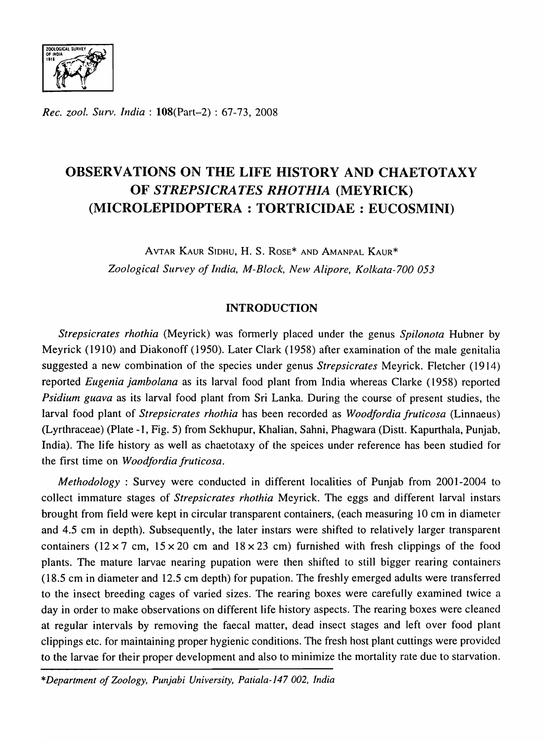

*Rec. zoo!. Surv. India:* l08(Part-2) : 67-73, 2008

# **OBSERVATIONS ON THE LIFE HISTORY AND CHAETOTAXY OF** *STREPSICRATES RHOTHIA* **(MEYRICK) (MICROLEPIDOPTERA : TORTRICIDAE : EUCOSMINI)**

AVTAR KAUR SIDHU, H. S. ROSE\* AND AMANPAL KAUR\* *Zoological Survey of India, M-Block, New Alipore, Kolkala-700 053* 

# **INTRODUCTION**

*Strepsicrates rhothia* (Meyrick) was fonnerly placed under the genus *Spilonota* Hubner by Meyrick (1910) and Diakonoff (1950). Later Clark (1958) after examination of the male genitalia suggested a new combination of the species under genus *Strepsicrates* Meyrick. Fletcher (1914) reported *Eugenia janlbolana* as its larval food plant from India whereas Clarke (1958) reported *Psidium guava* as its larval food plant from Sri Lanka. During the course of present studies, the larval food plant of *Strepsicrates rhothia* has been recorded as *Woodfordia fruticosa* (Linnaeus) (Lyrthraceae) (Plate -1, Fig. 5) from Sekhupur, Khalian, Sahni, Phagwara (Distt. Kapurthala, Punjab, India). The life history as well as chaetotaxy of the speices under reference has been studied for the first time on *Woodfordia fruticosa.* 

*Methodology* : Survey were conducted in different localities of Punjab from 2001-2004 to collect immature stages of *Strepsicrates rhothia* Meyrick. The eggs and different larval instars brought from field were kept in circular transparent containers, (each measuring 10 cm in diameter and 4.5 cm in depth). Subsequently, the later instars were shifted to relatively larger transparent containers ( $12 \times 7$  cm,  $15 \times 20$  cm and  $18 \times 23$  cm) furnished with fresh clippings of the food plants. The mature larvae nearing pupation were then shifted to still bigger rearing containers (18.5 cm in diameter and 12.5 cm depth) for pupation. The freshly emerged adults were transferred to the insect breeding cages of varied sizes. The rearing boxes were carefully examined twice a day in order to make observations on different life history aspects. The rearing boxes were cleaned at regular intervals by removing the faecal matter, dead insect stages and left over food plant clippings etc. for maintaining proper hygienic conditions. The fresh host plant cuttings were provided to the larvae for their proper development and also to minimize the mortality rate due to starvation.

*\*Department of Zoology, Punjabi University, Patiala-147 002, India*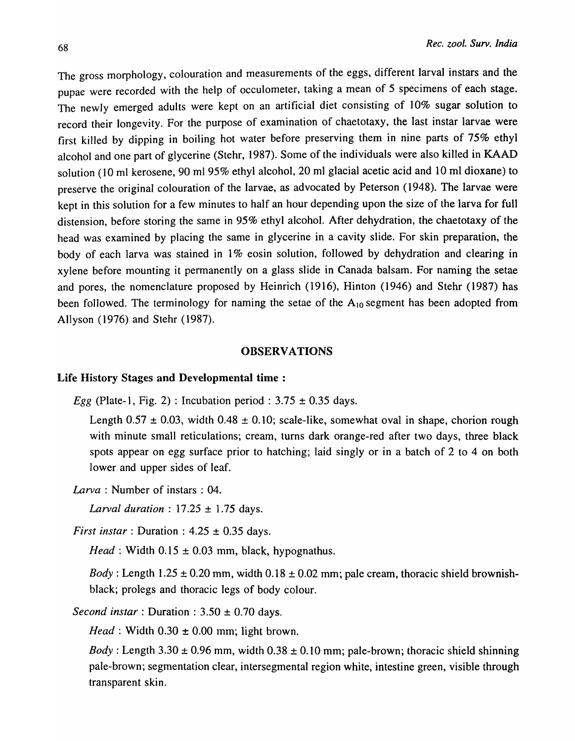The gross morphology, colouration and measurements of the eggs, different larval instars and the pupae were recorded with the help of occulometer, taking a mean of 5 specimens of each stage. The newly emerged adults were kept on an artificial diet consisting of 10% sugar solution to record their longevity. For the purpose of examination of chaetotaxy, the last instar larvae were first killed by dipping in boiling hot water before preserving them in nine parts of 75% ethyl alcohol and one part of glycerine (Stehr, 1987). Some of the individuals were also killed in KAAD solution (10 ml kerosene, 90 ml 95% ethyl alcohol, 20 ml glacial acetic acid and 10 ml dioxane) to preserve the original colouration of the larvae, as advocated by Peterson (1948). The larvae were kept in this solution for a few minutes to half an hour depending upon the size of the larva for full distension, before storing the same in 95% ethyl alcohol. After dehydration, the chaetotaxy of the head was examined by placing the same in glycerine in a cavity slide. For skin preparation, the body of each larva was stained in  $1\%$  eosin solution, followed by dehydration and clearing in xylene before mounting it permanently on a glass slide in Canada balsam. For naming the setae and pores, the nomenclature proposed by Heinrich (1916), Hinton (1946) and Stehr (1987) has been followed. The terminology for naming the setae of the  $A_{10}$  segment has been adopted from Allyson (1976) and Stehr (1987).

#### **OBSERVATIONS**

#### Life History Stages and Developmental time :

Egg (Plate-1, Fig. 2) : Incubation period:  $3.75 \pm 0.35$  days.

Length  $0.57 \pm 0.03$ , width  $0.48 \pm 0.10$ ; scale-like, somewhat oval in shape, chorion rough with minute small reticulations; cream, turns dark orange-red after two days, three black spots appear on egg surface prior to hatching; laid singly or in a batch of 2 to 4 on both lower and upper sides of leaf.

*Larva* : Number of instars : 04.

*Larval duration* : 17.25 ± 1.75 days.

*First instar* : Duration :  $4.25 \pm 0.35$  days.

*Head*: Width  $0.15 \pm 0.03$  mm, black, hypognathus.

*Body*: Length  $1.25 \pm 0.20$  mm, width  $0.18 \pm 0.02$  mm; pale cream, thoracic shield brownishblack; prolegs and thoracic legs of body colour.

*Second instar* : Duration :  $3.50 \pm 0.70$  days.

*Head*: Width  $0.30 \pm 0.00$  mm; light brown.

*Body*: Length  $3.30 \pm 0.96$  mm, width  $0.38 \pm 0.10$  mm; pale-brown; thoracic shield shinning pale-brown; segmentation clear, intersegmental region white, intestine green, visible through transparent skin.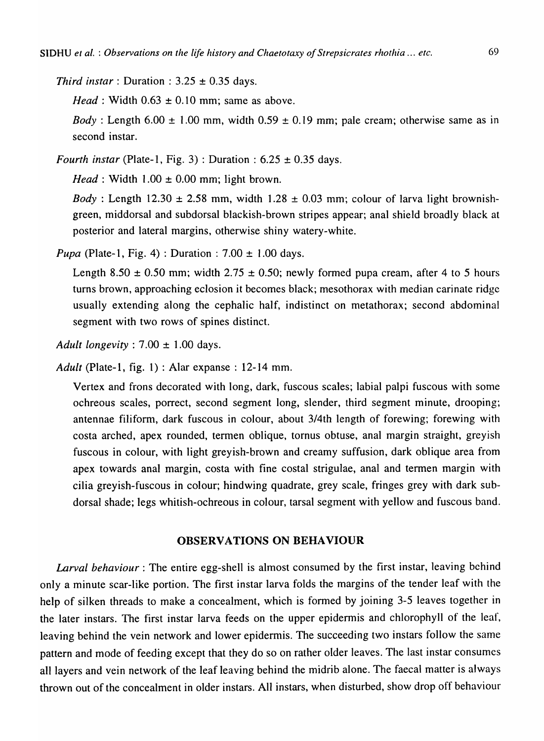*Third instar* : Duration :  $3.25 \pm 0.35$  days.

*Head*: Width  $0.63 \pm 0.10$  mm; same as above.

*Body*: Length  $6.00 \pm 1.00$  mm, width  $0.59 \pm 0.19$  mm; pale cream; otherwise same as in second instar.

*Fourth instar* (Plate-1, Fig. 3): Duration:  $6.25 \pm 0.35$  days.

*Head*: Width  $1.00 \pm 0.00$  mm; light brown.

*Body* : Length 12.30  $\pm$  2.58 mm, width 1.28  $\pm$  0.03 mm; colour of larva light brownishgreen, middorsal and subdorsal blackish-brown stripes appear; anal shield broadly black at posterior and lateral margins, otherwise shiny watery-white.

*Pupa* (Plate-1, Fig. 4): Duration:  $7.00 \pm 1.00$  days.

Length 8.50  $\pm$  0.50 mm; width 2.75  $\pm$  0.50; newly formed pupa cream, after 4 to 5 hours turns brown, approaching eclosion it becomes black; mesothorax with median carinate ridge usually extending along the cephalic half, indistinct on metathorax; second abdominal segment with two rows of spines distinct.

*Adult longevity:* 7.00 ± 1.00 days.

*Adult* (Plate-I, fig. 1) : Alar expanse : 12-14 mm.

Vertex and frons decorated with long, dark, fuscous scales; labial palpi fuscous with some ochreous scales, porrect, second segment long, slender, third segment minute, drooping; antennae filiform, dark fuscous in colour, about 3/4th length of forewing; forewing with costa arched, apex rounded, termen oblique, tornus obtuse, anal margin straight, greyish fuscous in colour, with light greyish-brown and creamy suffusion, dark oblique area from apex towards anal margin, costa with fine costal strigulae, anal and termen margin with cilia greyish-fuscous in colour; hindwing quadrate, grey scale, fringes grey with dark subdorsal shade; legs whitish-ochreous in colour, tarsal segment with yellow and fuscous band.

## OBSERVATIONS ON BEHAVIOUR

*Larval behaviour:* The entire egg-shell is almost consumed by the first instar, leaving behind only a minute scar-like portion. The first instar larva folds the margins of the tender leaf with the help of silken threads to make a concealment, which is formed by joining 3-5 leaves together in the later instars. The first instar larva feeds on the upper epidermis and chlorophyll of the leaf, leaving behind the vein network and lower epidermis. The succeeding two instars follow the same pattern and mode of feeding except that they do so on rather older leaves. The last instar consumes all layers and vein network of the leaf leaving behind the midrib alone. The faecal matter is always thrown out of the concealment in older instars. All instars, when disturbed, show drop off behaviour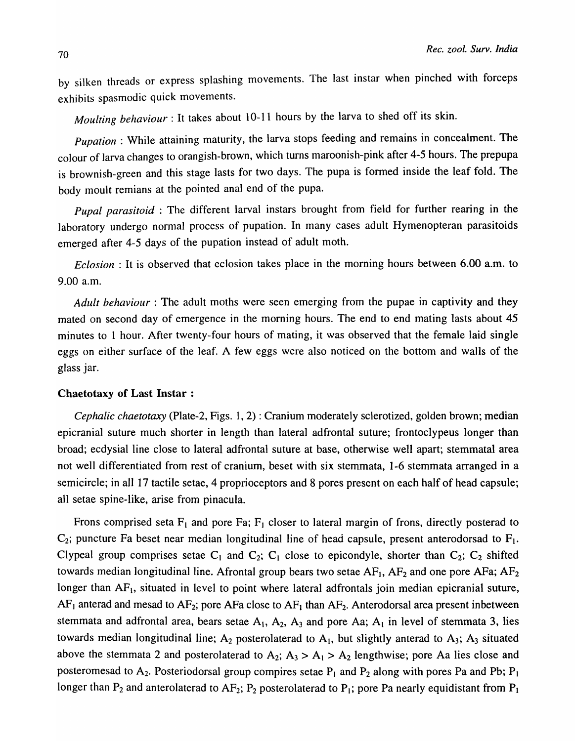by silken threads or express splashing movements. The last instar when pinched with forceps exhibits spasmodic quick movements.

*Moulting behaviour:* It takes about 10-11 hours by the larva to shed off its skin.

*Pupation* : While attaining maturity, the larva stops feeding and remains in concealment. The colour of larva changes to orangish-brown, which turns maroonish-pink after 4-5 hours. The prepupa is brownish-green and this stage lasts for two days. The pupa is formed inside the leaf fold. The body moult remians at the pointed anal end of the pupa.

*Pupal parasitoid* : The different larval instars brought from field for further rearing in the laboratory undergo normal process of pupation. In many cases adult Hymenopteran parasitoids emerged after 4-5 days of the pupation instead of adult moth.

*Eclosion* : It is observed that eclosion takes place in the morning hours between 6.00 a.m. to 9.00 a.m.

*Adult behaviour*: The adult moths were seen emerging from the pupae in captivity and they mated on second day of emergence in the morning hours. The end to end mating lasts about 45 minutes to 1 hour. After twenty-four hours of mating, it was observed that the female laid single eggs on either surface of the leaf. A few eggs were also noticed on the bottom and walls of the glass jar.

# Chaetotaxy of Last Instar :

*Cephalic chaetotaxy* (Plate-2, Figs. 1, 2) : Cranium moderately sclerotized, golden brown; median epicranial suture much shorter in length than lateral adfrontal suture; frontoclypeus longer than broad; ecdysial line close to lateral adfrontal suture at base, otherwise well apart; stemmatal area not well differentiated from rest of cranium, beset with six stemmata, 1-6 stemmata arranged in a semicircle; in all 17 tactile setae, 4 proprioceptors and 8 pores present on each half of head capsule; all setae spine-like, arise from pinacula.

Frons comprised seta  $F_1$  and pore Fa;  $F_1$  closer to lateral margin of frons, directly posterad to  $C_2$ ; puncture Fa beset near median longitudinal line of head capsule, present anterodorsad to  $F_1$ . Clypeal group comprises setae  $C_1$  and  $C_2$ ;  $C_1$  close to epicondyle, shorter than  $C_2$ ;  $C_2$  shifted towards median longitudinal line. Afrontal group bears two setae  $AF_1$ ,  $AF_2$  and one pore  $AF_3$ ;  $AF_2$ longer than  $AF<sub>1</sub>$ , situated in level to point where lateral adfrontals join median epicranial suture,  $AF<sub>1</sub>$  anterad and mesad to  $AF<sub>2</sub>$ ; pore AFa close to  $AF<sub>1</sub>$  than  $AF<sub>2</sub>$ . Anterodorsal area present inbetween stemmata and adfrontal area, bears setae  $A_1$ ,  $A_2$ ,  $A_3$  and pore Aa;  $A_1$  in level of stemmata 3, lies towards median longitudinal line;  $A_2$  posterolaterad to  $A_1$ , but slightly anterad to  $A_3$ ;  $A_3$  situated above the stemmata 2 and posterolaterad to  $A_2$ ;  $A_3 > A_1 > A_2$  lengthwise; pore Aa lies close and posteromesad to  $A_2$ . Posteriodorsal group compires setae  $P_1$  and  $P_2$  along with pores Pa and Pb;  $P_1$ longer than  $P_2$  and anterolaterad to  $AF_2$ ;  $P_2$  posterolaterad to  $P_1$ ; pore Pa nearly equidistant from  $P_1$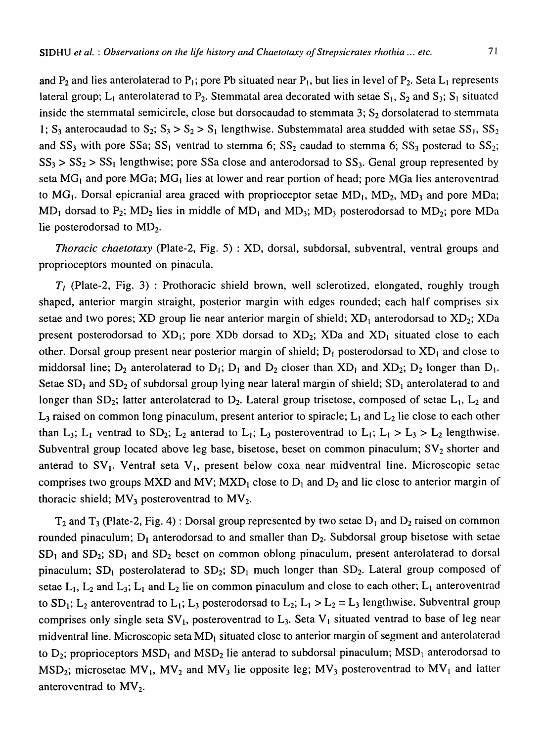and  $P_2$  and lies anterolaterad to  $P_1$ ; pore Pb situated near  $P_1$ , but lies in level of  $P_2$ . Seta  $L_1$  represents lateral group;  $L_1$  anterolaterad to  $P_2$ . Stemmatal area decorated with setae  $S_1$ ,  $S_2$  and  $S_3$ ;  $S_1$  situated inside the stemmatal semicircle, close but dorsocaudad to stemmata 3;  $S_2$  dorsolaterad to stemmata 1; S<sub>3</sub> anterocaudad to S<sub>2</sub>; S<sub>3</sub> > S<sub>2</sub> > S<sub>1</sub> lengthwise. Substemmatal area studded with setae SS<sub>1</sub>, SS<sub>2</sub> and  $SS_3$  with pore SSa; SS<sub>1</sub> ventrad to stemma 6; SS<sub>2</sub> caudad to stemma 6; SS<sub>3</sub> posterad to SS<sub>2</sub>;  $SS_3 > SS_2 > SS_1$  lengthwise; pore SSa close and anterodorsad to SS<sub>3</sub>. Genal group represented by seta  $MG<sub>1</sub>$  and pore  $MG<sub>1</sub>$ ; MG<sub>1</sub> lies at lower and rear portion of head; pore MGa lies anteroventrad to  $MG_1$ . Dorsal epicranial area graced with proprioceptor setae  $MD_1$ ,  $MD_2$ ,  $MD_3$  and pore MDa;  $MD_1$  dorsad to  $P_2$ ;  $MD_2$  lies in middle of  $MD_1$  and  $MD_3$ ;  $MD_3$  posterodorsad to  $MD_2$ ; pore MDa lie posterodorsad to  $MD<sub>2</sub>$ .

*Thoracic chaetotaxy* (Plate-2, Fig. 5) : XD, dorsal, subdorsal, subventral, ventral groups and proprioceptors mounted on pinacula.

 $T_1$  (Plate-2, Fig. 3) : Prothoracic shield brown, well sclerotized, elongated, roughly trough shaped, anterior margin straight, posterior margin with edges rounded; each half comprises six setae and two pores; XD group lie near anterior margin of shield;  $XD_1$  anterodorsad to  $XD_2$ ; XDa present posterodorsad to  $XD_1$ ; pore XDb dorsad to  $XD_2$ ; XDa and  $XD_1$  situated close to each other. Dorsal group present near posterior margin of shield;  $D_1$  posterodorsad to  $XD_1$  and close to middorsal line;  $D_2$  anterolaterad to  $D_1$ ;  $D_1$  and  $D_2$  closer than  $XD_1$  and  $XD_2$ ;  $D_2$  longer than  $D_1$ . Setae  $SD_1$  and  $SD_2$  of subdorsal group lying near lateral margin of shield;  $SD_1$  anterolaterad to and longer than  $SD_2$ ; latter anterolaterad to  $D_2$ . Lateral group trisetose, composed of setae  $L_1$ ,  $L_2$  and  $L_3$  raised on common long pinaculum, present anterior to spiracle;  $L_1$  and  $L_2$  lie close to each other than L<sub>3</sub>; L<sub>1</sub> ventrad to SD<sub>2</sub>; L<sub>2</sub> anterad to L<sub>1</sub>; L<sub>3</sub> posteroventrad to L<sub>1</sub>; L<sub>1</sub> > L<sub>3</sub> > L<sub>2</sub> lengthwise. Subventral group located above leg base, bisetose, beset on common pinaculum;  $SV_2$  shorter and anterad to  $SV_1$ . Ventral seta  $V_1$ , present below coxa near midventral line. Microscopic setae comprises two groups MXD and MV;  $MXD<sub>1</sub>$  close to  $D<sub>1</sub>$  and  $D<sub>2</sub>$  and lie close to anterior margin of thoracic shield;  $MV_3$  posteroventrad to  $MV_2$ .

 $T_2$  and  $T_3$  (Plate-2, Fig. 4) : Dorsal group represented by two setae  $D_1$  and  $D_2$  raised on common rounded pinaculum;  $D_1$  anterodorsad to and smaller than  $D_2$ . Subdorsal group bisetose with setae  $SD<sub>1</sub>$  and  $SD<sub>2</sub>$ ;  $SD<sub>1</sub>$  and  $SD<sub>2</sub>$  beset on common oblong pinaculum, present anterolaterad to dorsal pinaculum;  $SD_1$  posterolaterad to  $SD_2$ ;  $SD_1$  much longer than  $SD_2$ . Lateral group composed of setae  $L_1$ ,  $L_2$  and  $L_3$ ;  $L_1$  and  $L_2$  lie on common pinaculum and close to each other;  $L_1$  anteroventrad to SD<sub>1</sub>; L<sub>2</sub> anteroventrad to L<sub>1</sub>; L<sub>3</sub> posterodorsad to L<sub>2</sub>; L<sub>1</sub> > L<sub>2</sub> = L<sub>3</sub> lengthwise. Subventral group comprises only single seta  $SV_1$ , posteroventrad to  $L_3$ . Seta  $V_1$  situated ventrad to base of leg near midventral line. Microscopic seta  $MD<sub>1</sub>$  situated close to anterior margin of segment and anterolaterad to  $D_2$ ; proprioceptors  $MSD_1$  and  $MSD_2$  lie anterad to subdorsal pinaculum;  $MSD_1$  anterodorsad to MSD<sub>2</sub>; microsetae MV<sub>1</sub>, MV<sub>2</sub> and MV<sub>3</sub> lie opposite leg; MV<sub>3</sub> posteroventrad to MV<sub>1</sub> and latter anteroventrad to  $MV_2$ .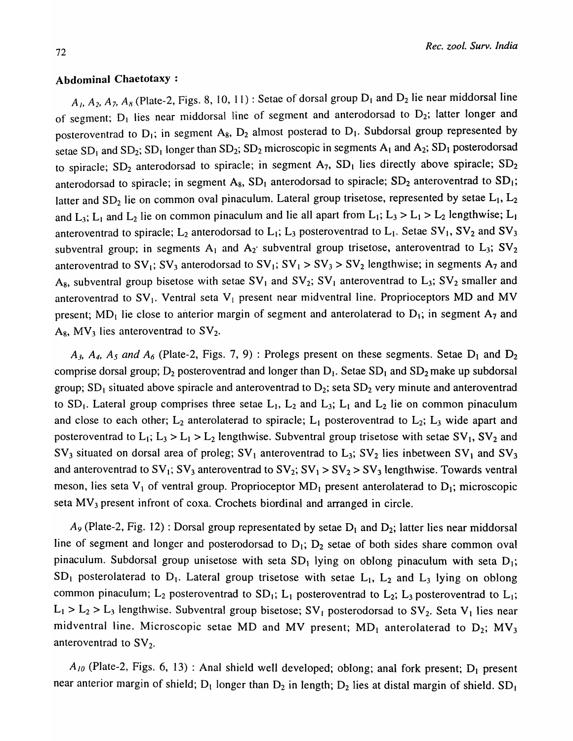## Abdominal Chaetotaxy :

 $A_1$ ,  $A_2$ ,  $A_7$ ,  $A_8$  (Plate-2, Figs. 8, 10, 11) : Setae of dorsal group  $D_1$  and  $D_2$  lie near middorsal line of segment;  $D_1$  lies near middorsal line of segment and anterodorsad to  $D_2$ ; latter longer and posteroventrad to  $D_1$ ; in segment A<sub>8</sub>,  $D_2$  almost posterad to  $D_1$ . Subdorsal group represented by setae  $SD_1$  and  $SD_2$ ;  $SD_1$  longer than  $SD_2$ ;  $SD_2$  microscopic in segments  $A_1$  and  $A_2$ ;  $SD_1$  posterodorsad to spiracle;  $SD_2$  anterodorsad to spiracle; in segment  $A_7$ ,  $SD_1$  lies directly above spiracle;  $SD_2$ anterodorsad to spiracle; in segment  $A_8$ ,  $SD_1$  anterodorsad to spiracle;  $SD_2$  anteroventrad to  $SD_1$ ; latter and  $SD_2$  lie on common oval pinaculum. Lateral group trisetose, represented by setae  $L_1$ ,  $L_2$ and L<sub>3</sub>; L<sub>1</sub> and L<sub>2</sub> lie on common pinaculum and lie all apart from L<sub>1</sub>; L<sub>3</sub> > L<sub>1</sub> > L<sub>2</sub> lengthwise; L<sub>1</sub> anteroventrad to spiracle;  $L_2$  anterodorsad to  $L_1$ ;  $L_3$  posteroventrad to  $L_1$ . Setae SV<sub>1</sub>, SV<sub>2</sub> and SV<sub>3</sub> subventral group; in segments  $A_1$  and  $A_2$  subventral group trisetose, anteroventrad to  $L_3$ ;  $SV_2$ anteroventrad to  $SV_1$ ;  $SV_3$  anterodorsad to  $SV_1$ ;  $SV_1 > SV_3 > SV_2$  lengthwise; in segments A<sub>7</sub> and A<sub>8</sub>, subventral group bisetose with setae  $SV_1$  and  $SV_2$ ;  $SV_1$  anteroventrad to L<sub>3</sub>;  $SV_2$  smaller and anteroventrad to  $SV_1$ . Ventral seta  $V_1$  present near midventral line. Proprioceptors MD and MV present;  $MD_1$  lie close to anterior margin of segment and anterolaterad to  $D_1$ ; in segment  $A_7$  and  $A_8$ , MV<sub>3</sub> lies anteroventrad to SV<sub>2</sub>.

 $A_3$ ,  $A_4$ ,  $A_5$  and  $A_6$  (Plate-2, Figs. 7, 9) : Prolegs present on these segments. Setae  $D_1$  and  $D_2$ comprise dorsal group;  $D_2$  posteroventrad and longer than  $D_1$ . Setae SD<sub>1</sub> and SD<sub>2</sub> make up subdorsal group;  $SD_1$  situated above spiracle and anteroventrad to  $D_2$ ; seta  $SD_2$  very minute and anteroventrad to  $SD_1$ . Lateral group comprises three setae  $L_1$ ,  $L_2$  and  $L_3$ ;  $L_1$  and  $L_2$  lie on common pinaculum and close to each other;  $L_2$  anterolaterad to spiracle;  $L_1$  posteroventrad to  $L_2$ ;  $L_3$  wide apart and posteroventrad to  $L_1$ ;  $L_3 > L_1 > L_2$  lengthwise. Subventral group trisetose with setae SV<sub>1</sub>, SV<sub>2</sub> and  $SV_3$  situated on dorsal area of proleg;  $SV_1$  anteroventrad to  $L_3$ ;  $SV_2$  lies inbetween  $SV_1$  and  $SV_3$ and anteroventrad to  $SV_1$ ;  $SV_3$  anteroventrad to  $SV_2$ ;  $SV_1 > SV_2 > SV_3$  lengthwise. Towards ventral meson, lies seta  $V_1$  of ventral group. Proprioceptor  $MD_1$  present anterolaterad to  $D_1$ ; microscopic seta  $MV_3$  present infront of coxa. Crochets biordinal and arranged in circle.

 $A_9$  (Plate-2, Fig. 12) : Dorsal group representated by setae  $D_1$  and  $D_2$ ; latter lies near middorsal line of segment and longer and posterodorsad to  $D_1$ ;  $D_2$  setae of both sides share common oval pinaculum. Subdorsal group unisetose with seta  $SD_1$  lying on oblong pinaculum with seta  $D_1$ ;  $SD_1$  posterolaterad to  $D_1$ . Lateral group trisetose with setae  $L_1$ ,  $L_2$  and  $L_3$  lying on oblong common pinaculum;  $L_2$  posteroventrad to  $SD_1$ ;  $L_1$  posteroventrad to  $L_2$ ;  $L_3$  posteroventrad to  $L_1$ ;  $L_1 > L_2 > L_3$  lengthwise. Subventral group bisetose; SV<sub>1</sub> posterodorsad to SV<sub>2</sub>. Seta V<sub>1</sub> lies near midventral line. Microscopic setae MD and MV present;  $MD_1$  anterolaterad to  $D_2$ ;  $MV_3$ anteroventrad to  $SV_2$ .

 $A_{10}$  (Plate-2, Figs. 6, 13) : Anal shield well developed; oblong; anal fork present; D<sub>1</sub> present near anterior margin of shield;  $D_1$  longer than  $D_2$  in length;  $D_2$  lies at distal margin of shield.  $SD_1$